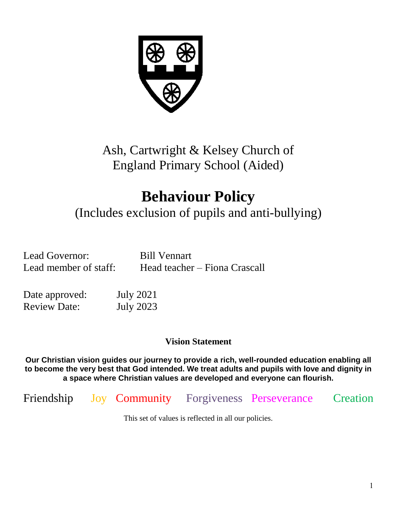

Ash, Cartwright & Kelsey Church of England Primary School (Aided)

# **Behaviour Policy**

(Includes exclusion of pupils and anti-bullying)

Lead Governor: Bill Vennart

Lead member of staff: Head teacher – Fiona Crascall

Date approved: July 2021 Review Date: July 2023

**Vision Statement**

**Our Christian vision guides our journey to provide a rich, well-rounded education enabling all to become the very best that God intended. We treat adults and pupils with love and dignity in a space where Christian values are developed and everyone can flourish.**

Friendship Joy Community Forgiveness Perseverance Creation

This set of values is reflected in all our policies.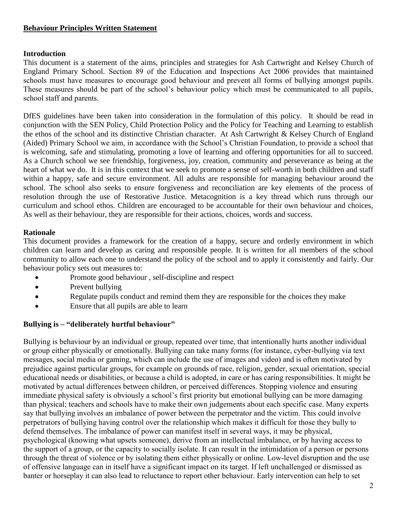#### **Behaviour Principles Written Statement**

#### **Introduction**

This document is a statement of the aims, principles and strategies for Ash Cartwright and Kelsey Church of England Primary School. Section 89 of the Education and Inspections Act 2006 provides that maintained schools must have measures to encourage good behaviour and prevent all forms of bullying amongst pupils. These measures should be part of the school's behaviour policy which must be communicated to all pupils, school staff and parents.

DfES guidelines have been taken into consideration in the formulation of this policy. It should be read in conjunction with the SEN Policy, Child Protection Policy and the Policy for Teaching and Learning to establish the ethos of the school and its distinctive Christian character. At Ash Cartwright & Kelsey Church of England (Aided) Primary School we aim, in accordance with the School's Christian Foundation, to provide a school that is welcoming, safe and stimulating, promoting a love of learning and offering opportunities for all to succeed. As a Church school we see friendship, forgiveness, joy, creation, community and perseverance as being at the heart of what we do. It is in this context that we seek to promote a sense of self-worth in both children and staff within a happy, safe and secure environment. All adults are responsible for managing behaviour around the school. The school also seeks to ensure forgiveness and reconciliation are key elements of the process of resolution through the use of Restorative Justice. Metacognition is a key thread which runs through our curriculum and school ethos. Children are encouraged to be accountable for their own behaviour and choices, As well as their behaviour, they are responsible for their actions, choices, words and success.

#### **Rationale**

This document provides a framework for the creation of a happy, secure and orderly environment in which children can learn and develop as caring and responsible people. It is written for all members of the school community to allow each one to understand the policy of the school and to apply it consistently and fairly. Our behaviour policy sets out measures to:

- Promote good behaviour , self-discipline and respect
- Prevent bullying
- Regulate pupils conduct and remind them they are responsible for the choices they make
- Ensure that all pupils are able to learn

#### **Bullying is – "deliberately hurtful behaviour"**

Bullying is behaviour by an individual or group, repeated over time, that intentionally hurts another individual or group either physically or emotionally. Bullying can take many forms (for instance, cyber-bullying via text messages, social media or gaming, which can include the use of images and video) and is often motivated by prejudice against particular groups, for example on grounds of race, religion, gender, sexual orientation, special educational needs or disabilities, or because a child is adopted, in care or has caring responsibilities. It might be motivated by actual differences between children, or perceived differences. Stopping violence and ensuring immediate physical safety is obviously a school's first priority but emotional bullying can be more damaging than physical; teachers and schools have to make their own judgements about each specific case. Many experts say that bullying involves an imbalance of power between the perpetrator and the victim. This could involve perpetrators of bullying having control over the relationship which makes it difficult for those they bully to defend themselves. The imbalance of power can manifest itself in several ways, it may be physical, psychological (knowing what upsets someone), derive from an intellectual imbalance, or by having access to the support of a group, or the capacity to socially isolate. It can result in the intimidation of a person or persons through the threat of violence or by isolating them either physically or online. Low-level disruption and the use of offensive language can in itself have a significant impact on its target. If left unchallenged or dismissed as banter or horseplay it can also lead to reluctance to report other behaviour. Early intervention can help to set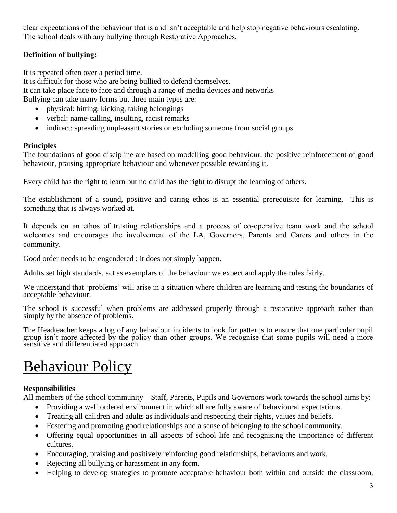clear expectations of the behaviour that is and isn't acceptable and help stop negative behaviours escalating. The school deals with any bullying through Restorative Approaches.

# **Definition of bullying:**

It is repeated often over a period time.

It is difficult for those who are being bullied to defend themselves. It can take place face to face and through a range of media devices and networks

Bullying can take many forms but three main types are:

- physical: hitting, kicking, taking belongings
- verbal: name-calling, insulting, racist remarks
- indirect: spreading unpleasant stories or excluding someone from social groups.

## **Principles**

The foundations of good discipline are based on modelling good behaviour, the positive reinforcement of good behaviour, praising appropriate behaviour and whenever possible rewarding it.

Every child has the right to learn but no child has the right to disrupt the learning of others.

The establishment of a sound, positive and caring ethos is an essential prerequisite for learning. This is something that is always worked at.

It depends on an ethos of trusting relationships and a process of co-operative team work and the school welcomes and encourages the involvement of the LA, Governors, Parents and Carers and others in the community.

Good order needs to be engendered ; it does not simply happen.

Adults set high standards, act as exemplars of the behaviour we expect and apply the rules fairly.

We understand that 'problems' will arise in a situation where children are learning and testing the boundaries of acceptable behaviour.

The school is successful when problems are addressed properly through a restorative approach rather than simply by the absence of problems.

The Headteacher keeps a log of any behaviour incidents to look for patterns to ensure that one particular pupil group isn't more affected by the policy than other groups. We recognise that some pupils will need a more sensitive and differentiated approach.

# Behaviour Policy

## **Responsibilities**

All members of the school community – Staff, Parents, Pupils and Governors work towards the school aims by:

- Providing a well ordered environment in which all are fully aware of behavioural expectations.
- Treating all children and adults as individuals and respecting their rights, values and beliefs.
- Fostering and promoting good relationships and a sense of belonging to the school community.
- Offering equal opportunities in all aspects of school life and recognising the importance of different cultures.
- Encouraging, praising and positively reinforcing good relationships, behaviours and work.
- Rejecting all bullying or harassment in any form.
- Helping to develop strategies to promote acceptable behaviour both within and outside the classroom,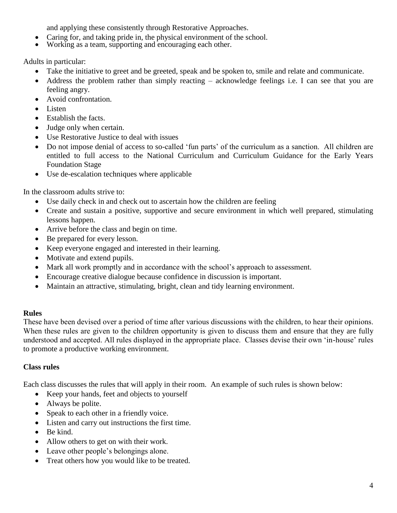and applying these consistently through Restorative Approaches.

- Caring for, and taking pride in, the physical environment of the school.
- Working as a team, supporting and encouraging each other.

Adults in particular:

- Take the initiative to greet and be greeted, speak and be spoken to, smile and relate and communicate.
- Address the problem rather than simply reacting acknowledge feelings i.e. I can see that you are feeling angry.
- Avoid confrontation.
- Listen
- Establish the facts.
- Judge only when certain.
- Use Restorative Justice to deal with issues
- Do not impose denial of access to so-called 'fun parts' of the curriculum as a sanction. All children are entitled to full access to the National Curriculum and Curriculum Guidance for the Early Years Foundation Stage
- Use de-escalation techniques where applicable

In the classroom adults strive to:

- Use daily check in and check out to ascertain how the children are feeling
- Create and sustain a positive, supportive and secure environment in which well prepared, stimulating lessons happen.
- Arrive before the class and begin on time.
- Be prepared for every lesson.
- Keep everyone engaged and interested in their learning.
- Motivate and extend pupils.
- Mark all work promptly and in accordance with the school's approach to assessment.
- Encourage creative dialogue because confidence in discussion is important.
- Maintain an attractive, stimulating, bright, clean and tidy learning environment.

#### **Rules**

These have been devised over a period of time after various discussions with the children, to hear their opinions. When these rules are given to the children opportunity is given to discuss them and ensure that they are fully understood and accepted. All rules displayed in the appropriate place. Classes devise their own 'in-house' rules to promote a productive working environment.

#### **Class rules**

Each class discusses the rules that will apply in their room. An example of such rules is shown below:

- Keep your hands, feet and objects to yourself
- Always be polite.
- Speak to each other in a friendly voice.
- Listen and carry out instructions the first time.
- $\bullet$  Be kind.
- Allow others to get on with their work.
- Leave other people's belongings alone.
- Treat others how you would like to be treated.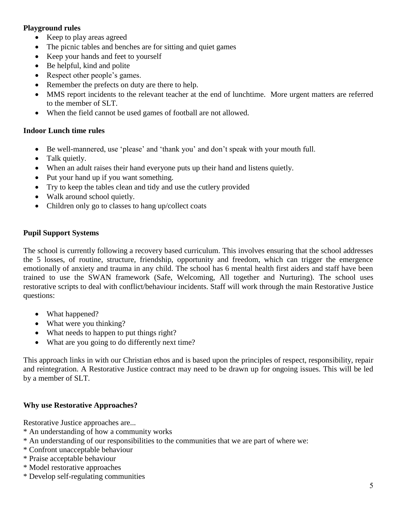### **Playground rules**

- Keep to play areas agreed
- The picnic tables and benches are for sitting and quiet games
- Keep your hands and feet to yourself
- Be helpful, kind and polite
- Respect other people's games.
- Remember the prefects on duty are there to help.
- MMS report incidents to the relevant teacher at the end of lunchtime. More urgent matters are referred to the member of SLT.
- When the field cannot be used games of football are not allowed.

#### **Indoor Lunch time rules**

- Be well-mannered, use 'please' and 'thank you' and don't speak with your mouth full.
- Talk quietly.
- When an adult raises their hand everyone puts up their hand and listens quietly.
- Put your hand up if you want something.
- Try to keep the tables clean and tidy and use the cutlery provided
- Walk around school quietly.
- Children only go to classes to hang up/collect coats

## **Pupil Support Systems**

The school is currently following a recovery based curriculum. This involves ensuring that the school addresses the 5 losses, of routine, structure, friendship, opportunity and freedom, which can trigger the emergence emotionally of anxiety and trauma in any child. The school has 6 mental health first aiders and staff have been trained to use the SWAN framework (Safe, Welcoming, All together and Nurturing). The school uses restorative scripts to deal with conflict/behaviour incidents. Staff will work through the main Restorative Justice questions:

- What happened?
- What were you thinking?
- What needs to happen to put things right?
- What are you going to do differently next time?

This approach links in with our Christian ethos and is based upon the principles of respect, responsibility, repair and reintegration. A Restorative Justice contract may need to be drawn up for ongoing issues. This will be led by a member of SLT.

#### **Why use Restorative Approaches?**

Restorative Justice approaches are...

- \* An understanding of how a community works
- \* An understanding of our responsibilities to the communities that we are part of where we:
- \* Confront unacceptable behaviour
- \* Praise acceptable behaviour
- \* Model restorative approaches
- \* Develop self-regulating communities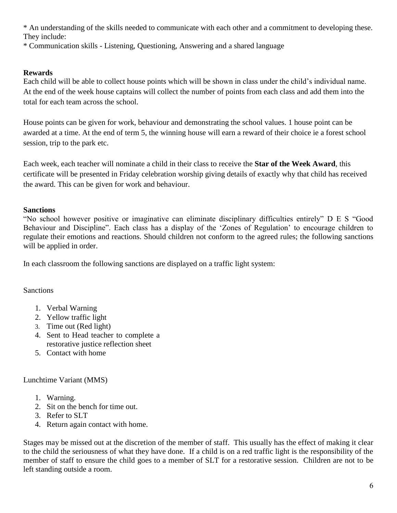\* An understanding of the skills needed to communicate with each other and a commitment to developing these. They include:

\* Communication skills - Listening, Questioning, Answering and a shared language

## **Rewards**

Each child will be able to collect house points which will be shown in class under the child's individual name. At the end of the week house captains will collect the number of points from each class and add them into the total for each team across the school.

House points can be given for work, behaviour and demonstrating the school values. 1 house point can be awarded at a time. At the end of term 5, the winning house will earn a reward of their choice ie a forest school session, trip to the park etc.

Each week, each teacher will nominate a child in their class to receive the **Star of the Week Award**, this certificate will be presented in Friday celebration worship giving details of exactly why that child has received the award. This can be given for work and behaviour.

#### **Sanctions**

"No school however positive or imaginative can eliminate disciplinary difficulties entirely" D E S "Good Behaviour and Discipline". Each class has a display of the 'Zones of Regulation' to encourage children to regulate their emotions and reactions. Should children not conform to the agreed rules; the following sanctions will be applied in order.

In each classroom the following sanctions are displayed on a traffic light system:

## Sanctions

- 1. Verbal Warning
- 2. Yellow traffic light
- 3. Time out (Red light)
- 4. Sent to Head teacher to complete a restorative justice reflection sheet
- 5. Contact with home

#### Lunchtime Variant (MMS)

- 1. Warning.
- 2. Sit on the bench for time out.
- 3. Refer to SLT
- 4. Return again contact with home.

Stages may be missed out at the discretion of the member of staff. This usually has the effect of making it clear to the child the seriousness of what they have done. If a child is on a red traffic light is the responsibility of the member of staff to ensure the child goes to a member of SLT for a restorative session. Children are not to be left standing outside a room.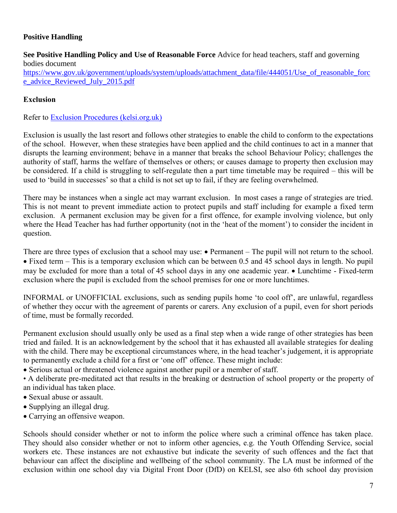## **Positive Handling**

**See Positive Handling Policy and Use of Reasonable Force** Advice for head teachers, staff and governing bodies document

[https://www.gov.uk/government/uploads/system/uploads/attachment\\_data/file/444051/Use\\_of\\_reasonable\\_forc](https://www.gov.uk/government/uploads/system/uploads/attachment_data/file/444051/Use_of_reasonable_force_advice_Reviewed_July_2015.pdf) [e\\_advice\\_Reviewed\\_July\\_2015.pdf](https://www.gov.uk/government/uploads/system/uploads/attachment_data/file/444051/Use_of_reasonable_force_advice_Reviewed_July_2015.pdf)

### **Exclusion**

Refer to [Exclusion Procedures \(kelsi.org.uk\)](https://www.kelsi.org.uk/__data/assets/pdf_file/0020/62165/Kent-LA-exclusion-guidance-for-schools-and-governors.pdf)

Exclusion is usually the last resort and follows other strategies to enable the child to conform to the expectations of the school. However, when these strategies have been applied and the child continues to act in a manner that disrupts the learning environment; behave in a manner that breaks the school Behaviour Policy; challenges the authority of staff, harms the welfare of themselves or others; or causes damage to property then exclusion may be considered. If a child is struggling to self-regulate then a part time timetable may be required – this will be used to 'build in successes' so that a child is not set up to fail, if they are feeling overwhelmed.

There may be instances when a single act may warrant exclusion. In most cases a range of strategies are tried. This is not meant to prevent immediate action to protect pupils and staff including for example a fixed term exclusion. A permanent exclusion may be given for a first offence, for example involving violence, but only where the Head Teacher has had further opportunity (not in the 'heat of the moment') to consider the incident in question.

There are three types of exclusion that a school may use:  $\bullet$  Permanent – The pupil will not return to the school. Fixed term – This is a temporary exclusion which can be between 0.5 and 45 school days in length. No pupil may be excluded for more than a total of 45 school days in any one academic year.  $\bullet$  Lunchtime - Fixed-term exclusion where the pupil is excluded from the school premises for one or more lunchtimes.

INFORMAL or UNOFFICIAL exclusions, such as sending pupils home 'to cool off', are unlawful, regardless of whether they occur with the agreement of parents or carers. Any exclusion of a pupil, even for short periods of time, must be formally recorded.

Permanent exclusion should usually only be used as a final step when a wide range of other strategies has been tried and failed. It is an acknowledgement by the school that it has exhausted all available strategies for dealing with the child. There may be exceptional circumstances where, in the head teacher's judgement, it is appropriate to permanently exclude a child for a first or 'one off' offence. These might include:

Serious actual or threatened violence against another pupil or a member of staff.

• A deliberate pre-meditated act that results in the breaking or destruction of school property or the property of an individual has taken place.

- Sexual abuse or assault.
- Supplying an illegal drug.
- Carrying an offensive weapon.

Schools should consider whether or not to inform the police where such a criminal offence has taken place. They should also consider whether or not to inform other agencies, e.g. the Youth Offending Service, social workers etc. These instances are not exhaustive but indicate the severity of such offences and the fact that behaviour can affect the discipline and wellbeing of the school community. The LA must be informed of the exclusion within one school day via Digital Front Door (DfD) on KELSI, see also 6th school day provision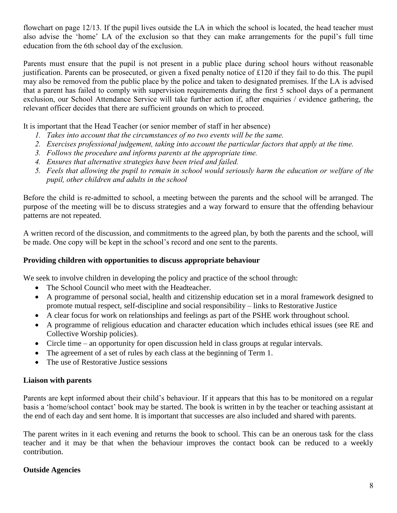flowchart on page 12/13. If the pupil lives outside the LA in which the school is located, the head teacher must also advise the 'home' LA of the exclusion so that they can make arrangements for the pupil's full time education from the 6th school day of the exclusion.

Parents must ensure that the pupil is not present in a public place during school hours without reasonable justification. Parents can be prosecuted, or given a fixed penalty notice of £120 if they fail to do this. The pupil may also be removed from the public place by the police and taken to designated premises. If the LA is advised that a parent has failed to comply with supervision requirements during the first 5 school days of a permanent exclusion, our School Attendance Service will take further action if, after enquiries / evidence gathering, the relevant officer decides that there are sufficient grounds on which to proceed.

It is important that the Head Teacher (or senior member of staff in her absence)

- *1. Takes into account that the circumstances of no two events will be the same.*
- *2. Exercises professional judgement, taking into account the particular factors that apply at the time.*
- *3. Follows the procedure and informs parents at the appropriate time.*
- *4. Ensures that alternative strategies have been tried and failed.*
- *5. Feels that allowing the pupil to remain in school would seriously harm the education or welfare of the pupil, other children and adults in the school*

Before the child is re-admitted to school, a meeting between the parents and the school will be arranged. The purpose of the meeting will be to discuss strategies and a way forward to ensure that the offending behaviour patterns are not repeated.

A written record of the discussion, and commitments to the agreed plan, by both the parents and the school, will be made. One copy will be kept in the school's record and one sent to the parents.

#### **Providing children with opportunities to discuss appropriate behaviour**

We seek to involve children in developing the policy and practice of the school through:

- The School Council who meet with the Headteacher.
- A programme of personal social, health and citizenship education set in a moral framework designed to promote mutual respect, self-discipline and social responsibility – links to Restorative Justice
- A clear focus for work on relationships and feelings as part of the PSHE work throughout school.
- A programme of religious education and character education which includes ethical issues (see RE and Collective Worship policies).
- Circle time an opportunity for open discussion held in class groups at regular intervals.
- The agreement of a set of rules by each class at the beginning of Term 1.
- The use of Restorative Justice sessions

#### **Liaison with parents**

Parents are kept informed about their child's behaviour. If it appears that this has to be monitored on a regular basis a 'home/school contact' book may be started. The book is written in by the teacher or teaching assistant at the end of each day and sent home. It is important that successes are also included and shared with parents.

The parent writes in it each evening and returns the book to school. This can be an onerous task for the class teacher and it may be that when the behaviour improves the contact book can be reduced to a weekly contribution.

#### **Outside Agencies**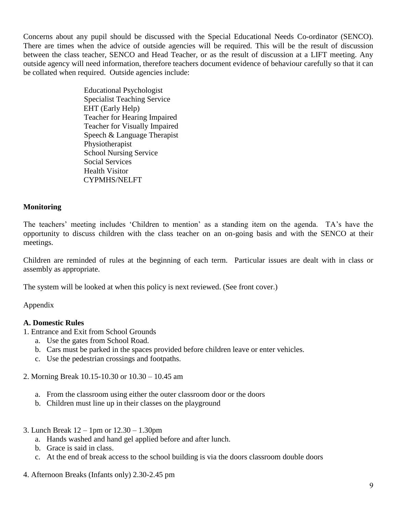Concerns about any pupil should be discussed with the Special Educational Needs Co-ordinator (SENCO). There are times when the advice of outside agencies will be required. This will be the result of discussion between the class teacher, SENCO and Head Teacher, or as the result of discussion at a LIFT meeting. Any outside agency will need information, therefore teachers document evidence of behaviour carefully so that it can be collated when required. Outside agencies include:

> Educational Psychologist Specialist Teaching Service EHT (Early Help) Teacher for Hearing Impaired Teacher for Visually Impaired Speech & Language Therapist Physiotherapist School Nursing Service Social Services Health Visitor CYPMHS/NELFT

#### **Monitoring**

The teachers' meeting includes 'Children to mention' as a standing item on the agenda. TA's have the opportunity to discuss children with the class teacher on an on-going basis and with the SENCO at their meetings.

Children are reminded of rules at the beginning of each term. Particular issues are dealt with in class or assembly as appropriate.

The system will be looked at when this policy is next reviewed. (See front cover.)

Appendix

#### **A. Domestic Rules**

- 1. Entrance and Exit from School Grounds
	- a. Use the gates from School Road.
	- b. Cars must be parked in the spaces provided before children leave or enter vehicles.
	- c. Use the pedestrian crossings and footpaths.
- 2. Morning Break 10.15-10.30 or 10.30 10.45 am
	- a. From the classroom using either the outer classroom door or the doors
	- b. Children must line up in their classes on the playground
- 3. Lunch Break 12 1pm or 12.30 1.30pm
	- a. Hands washed and hand gel applied before and after lunch.
	- b. Grace is said in class.
	- c. At the end of break access to the school building is via the doors classroom double doors
- 4. Afternoon Breaks (Infants only) 2.30-2.45 pm